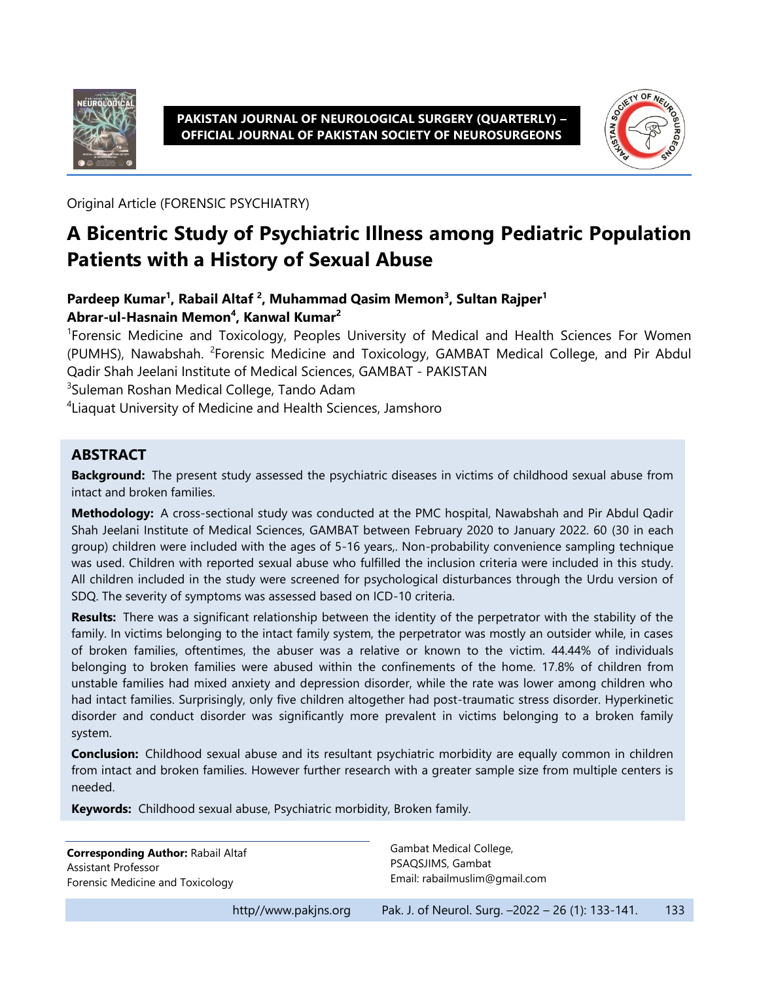

#### **PAKISTAN JOURNAL OF NEUROLOGICAL SURGERY (QUARTERLY) – OFFICIAL JOURNAL OF PAKISTAN SOCIETY OF NEUROSURGEONS**



Original Article (FORENSIC PSYCHIATRY)

# **A Bicentric Study of Psychiatric Illness among Pediatric Population Patients with a History of Sexual Abuse**

### **Pardeep Kumar<sup>1</sup> , Rabail Altaf <sup>2</sup> , Muhammad Qasim Memon<sup>3</sup> , Sultan Rajper<sup>1</sup> Abrar-ul-Hasnain Memon<sup>4</sup> , Kanwal Kumar<sup>2</sup>**

<sup>1</sup>Forensic Medicine and Toxicology, Peoples University of Medical and Health Sciences For Women (PUMHS), Nawabshah. <sup>2</sup>Forensic Medicine and Toxicology, GAMBAT Medical College, and Pir Abdul Qadir Shah Jeelani Institute of Medical Sciences, GAMBAT - PAKISTAN

3 Suleman Roshan Medical College, Tando Adam

4 Liaquat University of Medicine and Health Sciences, Jamshoro

#### **ABSTRACT**

**Background:** The present study assessed the psychiatric diseases in victims of childhood sexual abuse from intact and broken families.

**Methodology:** A cross-sectional study was conducted at the PMC hospital, Nawabshah and Pir Abdul Qadir Shah Jeelani Institute of Medical Sciences, GAMBAT between February 2020 to January 2022. 60 (30 in each group) children were included with the ages of 5-16 years,. Non-probability convenience sampling technique was used. Children with reported sexual abuse who fulfilled the inclusion criteria were included in this study. All children included in the study were screened for psychological disturbances through the Urdu version of SDQ. The severity of symptoms was assessed based on ICD-10 criteria.

**Results:** There was a significant relationship between the identity of the perpetrator with the stability of the family. In victims belonging to the intact family system, the perpetrator was mostly an outsider while, in cases of broken families, oftentimes, the abuser was a relative or known to the victim. 44.44% of individuals belonging to broken families were abused within the confinements of the home. 17.8% of children from unstable families had mixed anxiety and depression disorder, while the rate was lower among children who had intact families. Surprisingly, only five children altogether had post-traumatic stress disorder. Hyperkinetic disorder and conduct disorder was significantly more prevalent in victims belonging to a broken family system.

**Conclusion:** Childhood sexual abuse and its resultant psychiatric morbidity are equally common in children from intact and broken families. However further research with a greater sample size from multiple centers is needed.

**Keywords:** Childhood sexual abuse, Psychiatric morbidity, Broken family.

**Corresponding Author:** Rabail Altaf Assistant Professor Forensic Medicine and Toxicology

Gambat Medical College, PSAQSJIMS, Gambat Email: rabailmuslim@gmail.com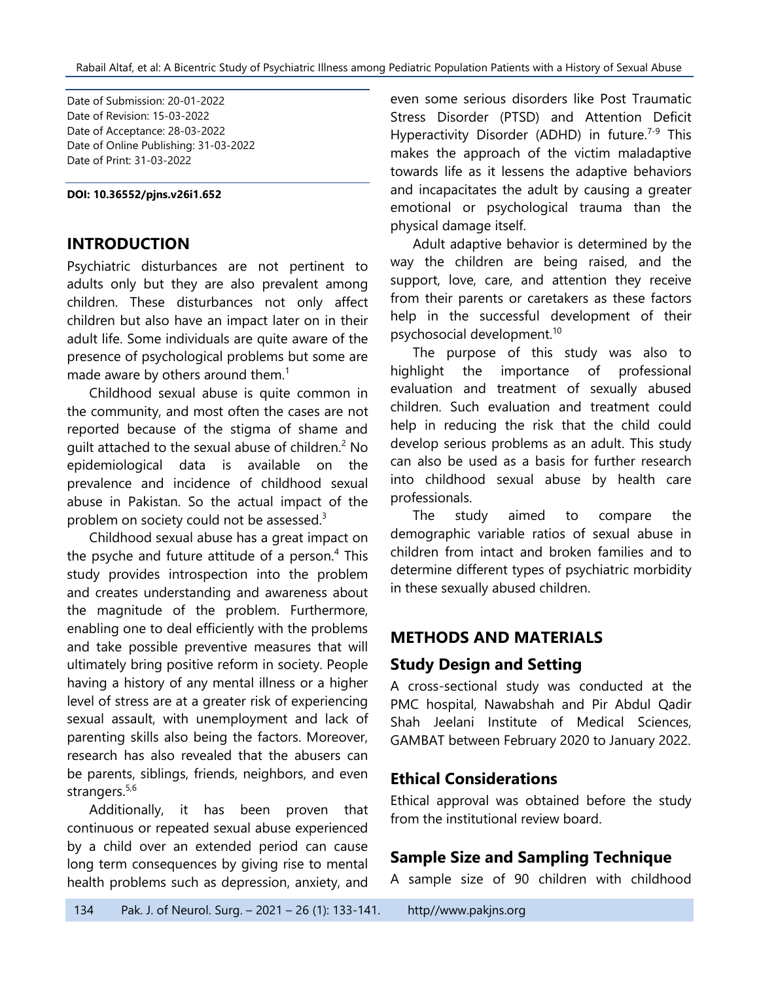Date of Submission: 20-01-2022 Date of Revision: 15-03-2022 Date of Acceptance: 28-03-2022 Date of Online Publishing: 31-03-2022 Date of Print: 31-03-2022

**DOI: 10.36552/pjns.v26i1.652**

#### **INTRODUCTION**

Psychiatric disturbances are not pertinent to adults only but they are also prevalent among children. These disturbances not only affect children but also have an impact later on in their adult life. Some individuals are quite aware of the presence of psychological problems but some are made aware by others around them. $<sup>1</sup>$ </sup>

Childhood sexual abuse is quite common in the community, and most often the cases are not reported because of the stigma of shame and quilt attached to the sexual abuse of children.<sup>2</sup> No epidemiological data is available on the prevalence and incidence of childhood sexual abuse in Pakistan. So the actual impact of the problem on society could not be assessed.<sup>3</sup>

Childhood sexual abuse has a great impact on the psyche and future attitude of a person.<sup>4</sup> This study provides introspection into the problem and creates understanding and awareness about the magnitude of the problem. Furthermore, enabling one to deal efficiently with the problems and take possible preventive measures that will ultimately bring positive reform in society. People having a history of any mental illness or a higher level of stress are at a greater risk of experiencing sexual assault, with unemployment and lack of parenting skills also being the factors. Moreover, research has also revealed that the abusers can be parents, siblings, friends, neighbors, and even strangers.<sup>5,6</sup>

Additionally, it has been proven that continuous or repeated sexual abuse experienced by a child over an extended period can cause long term consequences by giving rise to mental health problems such as depression, anxiety, and

even some serious disorders like Post Traumatic Stress Disorder (PTSD) and Attention Deficit Hyperactivity Disorder (ADHD) in future.<sup>7-9</sup> This makes the approach of the victim maladaptive towards life as it lessens the adaptive behaviors and incapacitates the adult by causing a greater emotional or psychological trauma than the physical damage itself.

Adult adaptive behavior is determined by the way the children are being raised, and the support, love, care, and attention they receive from their parents or caretakers as these factors help in the successful development of their psychosocial development.<sup>10</sup>

The purpose of this study was also to highlight the importance of professional evaluation and treatment of sexually abused children. Such evaluation and treatment could help in reducing the risk that the child could develop serious problems as an adult. This study can also be used as a basis for further research into childhood sexual abuse by health care professionals.

The study aimed to compare the demographic variable ratios of sexual abuse in children from intact and broken families and to determine different types of psychiatric morbidity in these sexually abused children.

# **METHODS AND MATERIALS**

### **Study Design and Setting**

A cross-sectional study was conducted at the PMC hospital, Nawabshah and Pir Abdul Qadir Shah Jeelani Institute of Medical Sciences, GAMBAT between February 2020 to January 2022.

### **Ethical Considerations**

Ethical approval was obtained before the study from the institutional review board.

### **Sample Size and Sampling Technique**

A sample size of 90 children with childhood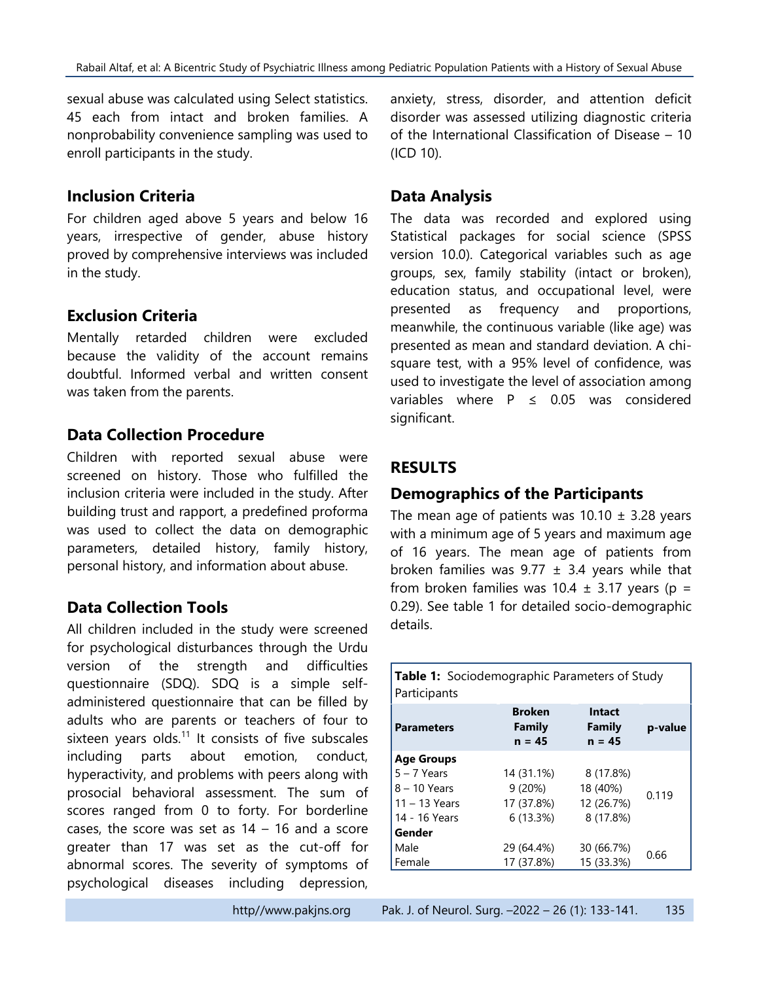Rabail Altaf, et al: A Bicentric Study of Psychiatric Illness among Pediatric Population Patients with a History of Sexual Abuse

sexual abuse was calculated using Select statistics. 45 each from intact and broken families. A nonprobability convenience sampling was used to enroll participants in the study.

#### **Inclusion Criteria**

For children aged above 5 years and below 16 years, irrespective of gender, abuse history proved by comprehensive interviews was included in the study.

# **Exclusion Criteria**

Mentally retarded children were excluded because the validity of the account remains doubtful. Informed verbal and written consent was taken from the parents.

# **Data Collection Procedure**

Children with reported sexual abuse were screened on history. Those who fulfilled the inclusion criteria were included in the study. After building trust and rapport, a predefined proforma was used to collect the data on demographic parameters, detailed history, family history, personal history, and information about abuse.

### **Data Collection Tools**

All children included in the study were screened for psychological disturbances through the Urdu version of the strength and difficulties questionnaire (SDQ). SDQ is a simple selfadministered questionnaire that can be filled by adults who are parents or teachers of four to sixteen years olds. $11$  It consists of five subscales including parts about emotion, conduct, hyperactivity, and problems with peers along with prosocial behavioral assessment. The sum of scores ranged from 0 to forty. For borderline cases, the score was set as  $14 - 16$  and a score greater than 17 was set as the cut-off for abnormal scores. The severity of symptoms of psychological diseases including depression,

anxiety, stress, disorder, and attention deficit disorder was assessed utilizing diagnostic criteria of the International Classification of Disease – 10 (ICD 10).

# **Data Analysis**

The data was recorded and explored using Statistical packages for social science (SPSS version 10.0). Categorical variables such as age groups, sex, family stability (intact or broken), education status, and occupational level, were presented as frequency and proportions, meanwhile, the continuous variable (like age) was presented as mean and standard deviation. A chisquare test, with a 95% level of confidence, was used to investigate the level of association among variables where  $P \leq 0.05$  was considered significant.

# **RESULTS**

# **Demographics of the Participants**

The mean age of patients was  $10.10 \pm 3.28$  years with a minimum age of 5 years and maximum age of 16 years. The mean age of patients from broken families was  $9.77 \pm 3.4$  years while that from broken families was  $10.4 \pm 3.17$  years (p = 0.29). See table 1 for detailed socio-demographic details.

| Table 1: Sociodemographic Parameters of Study<br>Participants |                                     |                              |         |
|---------------------------------------------------------------|-------------------------------------|------------------------------|---------|
| <b>Parameters</b>                                             | <b>Broken</b><br>Family<br>$n = 45$ | Intact<br>Family<br>$n = 45$ | p-value |
| <b>Age Groups</b>                                             |                                     |                              |         |
| $5 - 7$ Years                                                 | 14 (31.1%)                          | 8 (17.8%)                    | 0.119   |
| 8 - 10 Years                                                  | 9(20%)                              | 18 (40%)                     |         |
| $11 - 13$ Years                                               | 17 (37.8%)                          | 12 (26.7%)                   |         |
| 14 - 16 Years                                                 | 6(13.3%)                            | 8 (17.8%)                    |         |
| Gender                                                        |                                     |                              |         |
| Male                                                          | 29 (64.4%)                          | 30 (66.7%)                   | 0.66    |
| Female                                                        | 17 (37.8%)                          | 15 (33.3%)                   |         |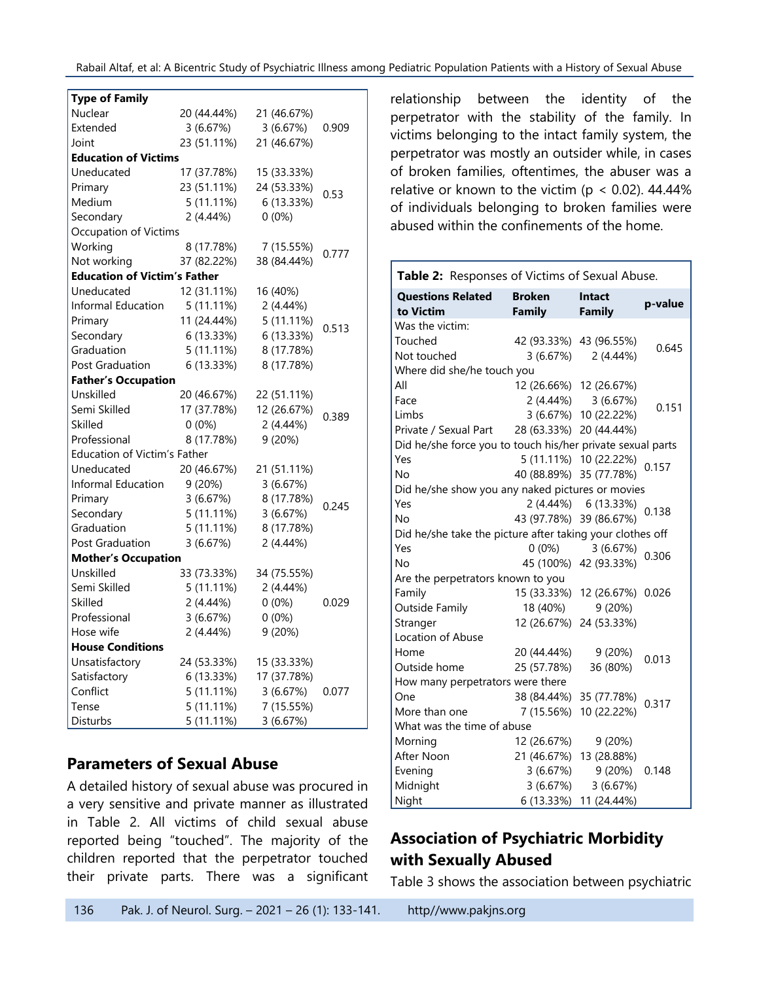Rabail Altaf, et al: A Bicentric Study of Psychiatric Illness among Pediatric Population Patients with a History of Sexual Abuse

| <b>Type of Family</b>               |              |             |       |
|-------------------------------------|--------------|-------------|-------|
| Nuclear                             | 20 (44.44%)  | 21 (46.67%) |       |
| Extended                            | 3(6.67%)     | 3(6.67%)    | 0.909 |
| Joint                               | 23 (51.11%)  | 21 (46.67%) |       |
| <b>Education of Victims</b>         |              |             |       |
| Uneducated                          | 17 (37.78%)  | 15 (33.33%) |       |
| Primary                             | 23 (51.11%)  | 24 (53.33%) | 0.53  |
| Medium                              | 5(11.11%)    | 6 (13.33%)  |       |
| Secondary                           | 2 (4.44%)    | $0(0\%)$    |       |
| Occupation of Victims               |              |             |       |
| Working                             | 8 (17.78%)   | 7 (15.55%)  |       |
| Not working                         | 37 (82.22%)  | 38 (84.44%) | 0.777 |
| <b>Education of Victim's Father</b> |              |             |       |
| Uneducated                          | 12 (31.11%)  | 16 (40%)    |       |
| Informal Education                  | $5(11.11\%)$ | 2(4.44%)    |       |
| Primary                             | 11 (24.44%)  | 5 (11.11%)  |       |
| Secondary                           | 6 (13.33%)   | 6 (13.33%)  | 0.513 |
| Graduation                          | 5 (11.11%)   | 8 (17.78%)  |       |
| <b>Post Graduation</b>              | 6 (13.33%)   | 8 (17.78%)  |       |
| <b>Father's Occupation</b>          |              |             |       |
| Unskilled                           | 20 (46.67%)  | 22 (51.11%) |       |
| Semi Skilled                        | 17 (37.78%)  | 12 (26.67%) |       |
| Skilled                             | $0(0\%)$     | 2(4.44%)    | 0.389 |
| Professional                        | 8 (17.78%)   | 9 (20%)     |       |
| Education of Victim's Father        |              |             |       |
| Uneducated                          | 20 (46.67%)  | 21 (51.11%) |       |
| Informal Education                  | 9 (20%)      | 3(6.67%)    |       |
| Primary                             | 3(6.67%)     | 8 (17.78%)  | 0.245 |
| Secondary                           | 5 (11.11%)   | 3(6.67%)    |       |
| Graduation                          | $5(11.11\%)$ | 8 (17.78%)  |       |
| Post Graduation                     | 3(6.67%)     | 2 (4.44%)   |       |
| <b>Mother's Occupation</b>          |              |             |       |
| Unskilled                           | 33 (73.33%)  | 34 (75.55%) |       |
| Semi Skilled                        | 5(11.11%)    | 2 (4.44%)   |       |
| <b>Skilled</b>                      | 2 (4.44%)    | $0(0\%)$    | 0.029 |
| Professional                        | 3(6.67%)     | $0(0\%)$    |       |
| Hose wife                           | 2 (4.44%)    | 9 (20%)     |       |
| <b>House Conditions</b>             |              |             |       |
| Unsatisfactory                      | 24 (53.33%)  | 15 (33.33%) |       |
| Satisfactory                        | 6 (13.33%)   | 17 (37.78%) |       |
| Conflict                            | $5(11.11\%)$ | 3(6.67%)    | 0.077 |
| Tense                               | 5(11.11%)    | 7 (15.55%)  |       |
| Disturbs                            | 5 (11.11%)   | 3(6.67%)    |       |

### **Parameters of Sexual Abuse**

A detailed history of sexual abuse was procured in a very sensitive and private manner as illustrated in Table 2. All victims of child sexual abuse reported being "touched". The majority of the children reported that the perpetrator touched their private parts. There was a significant

relationship between the identity of the perpetrator with the stability of the family. In victims belonging to the intact family system, the perpetrator was mostly an outsider while, in cases of broken families, oftentimes, the abuser was a relative or known to the victim ( $p < 0.02$ ). 44.44% of individuals belonging to broken families were abused within the confinements of the home.

| Table 2: Responses of Victims of Sexual Abuse.             |                                |                                |         |
|------------------------------------------------------------|--------------------------------|--------------------------------|---------|
| <b>Questions Related</b><br>to Victim                      | <b>Broken</b><br><b>Family</b> | <b>Intact</b><br><b>Family</b> | p-value |
| Was the victim:                                            |                                |                                |         |
| Touched                                                    |                                | 42 (93.33%) 43 (96.55%)        |         |
| Not touched                                                | 3 (6.67%)                      | $2(4.44\%)$                    | 0.645   |
| Where did she/he touch you                                 |                                |                                |         |
| All                                                        |                                | 12 (26.66%) 12 (26.67%)        |         |
| Face                                                       |                                | 2 (4.44%) 3 (6.67%)            |         |
| Limbs                                                      |                                | 3 (6.67%) 10 (22.22%)          | 0.151   |
| Private / Sexual Part                                      | 28 (63.33%) 20 (44.44%)        |                                |         |
| Did he/she force you to touch his/her private sexual parts |                                |                                |         |
| Yes                                                        |                                | 5 (11.11%) 10 (22.22%)         | 0.157   |
| No                                                         | 40 (88.89%) 35 (77.78%)        |                                |         |
| Did he/she show you any naked pictures or movies           |                                |                                |         |
| Yes                                                        |                                | 2 (4.44%) 6 (13.33%)           | 0.138   |
| No                                                         | 43 (97.78%) 39 (86.67%)        |                                |         |
| Did he/she take the picture after taking your clothes off  |                                |                                |         |
| Yes                                                        | $0(0\%)$                       | 3(6.67%)                       | 0.306   |
| No                                                         |                                | 45 (100%) 42 (93.33%)          |         |
| Are the perpetrators known to you                          |                                |                                |         |
| Family                                                     |                                | 15 (33.33%) 12 (26.67%)        | 0.026   |
| <b>Outside Family</b>                                      | 18 (40%)                       | 9(20%)                         |         |
| Stranger                                                   |                                | 12 (26.67%) 24 (53.33%)        |         |
| Location of Abuse                                          |                                |                                |         |
| Home                                                       | 20 (44.44%)                    | 9(20%)                         | 0.013   |
| Outside home                                               | 25 (57.78%)                    | 36 (80%)                       |         |
| How many perpetrators were there                           |                                |                                |         |
| One                                                        |                                | 38 (84.44%) 35 (77.78%)        | 0.317   |
| More than one                                              | 7 (15.56%)                     | 10 (22.22%)                    |         |
| What was the time of abuse                                 |                                |                                |         |
| Morning                                                    | 12 (26.67%)                    | 9(20%)                         |         |
| After Noon                                                 |                                | 21 (46.67%) 13 (28.88%)        |         |
| Evening                                                    | 3(6.67%)                       | 9 (20%)                        | 0.148   |
| Midnight                                                   | 3(6.67%)                       | 3(6.67%)                       |         |
| Night                                                      | 6 (13.33%)                     | 11 (24.44%)                    |         |

# **Association of Psychiatric Morbidity with Sexually Abused**

Table 3 shows the association between psychiatric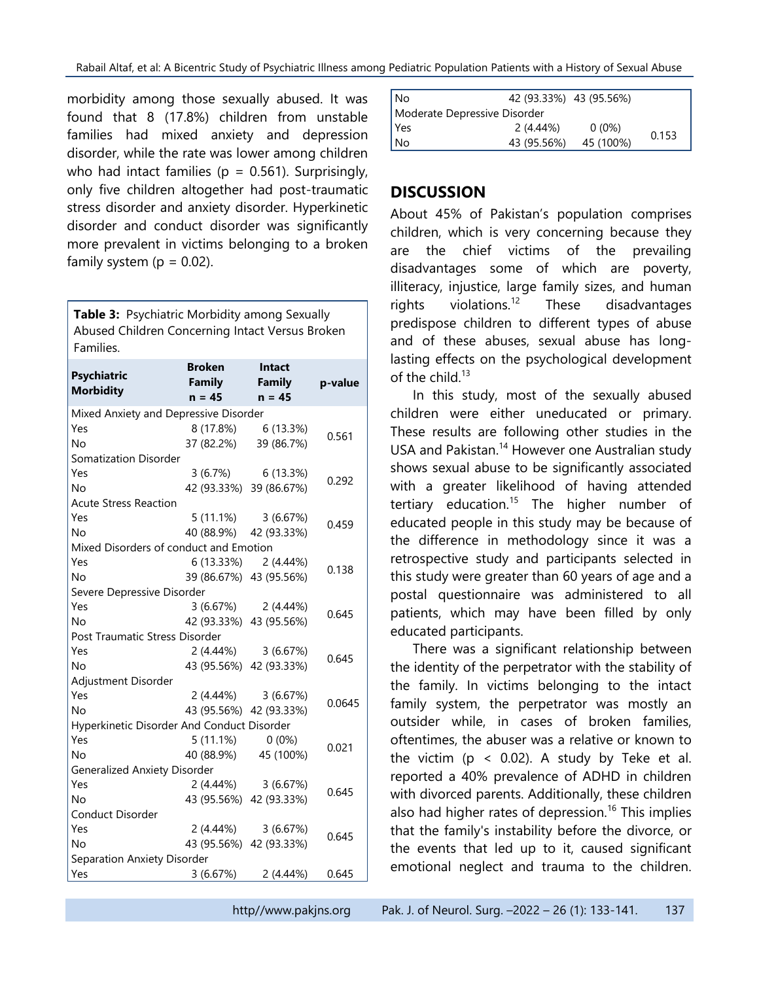morbidity among those sexually abused. It was found that 8 (17.8%) children from unstable families had mixed anxiety and depression disorder, while the rate was lower among children who had intact families ( $p = 0.561$ ). Surprisingly, only five children altogether had post-traumatic stress disorder and anxiety disorder. Hyperkinetic disorder and conduct disorder was significantly more prevalent in victims belonging to a broken family system ( $p = 0.02$ ).

**Table 3:** Psychiatric Morbidity among Sexually Abused Children Concerning Intact Versus Broken Families.

| <b>Psychiatric</b><br><b>Morbidity</b>     | <b>Broken</b><br><b>Family</b><br>$n = 45$ | Intact<br><b>Family</b><br>$n = 45$ | p-value |
|--------------------------------------------|--------------------------------------------|-------------------------------------|---------|
| Mixed Anxiety and Depressive Disorder      |                                            |                                     |         |
| Yes                                        |                                            | 8 (17.8%) 6 (13.3%)                 | 0.561   |
| No                                         |                                            | 37 (82.2%) 39 (86.7%)               |         |
| <b>Somatization Disorder</b>               |                                            |                                     |         |
| Yes                                        |                                            | $3(6.7\%)$ 6 (13.3%)                | 0.292   |
| No                                         |                                            | 42 (93.33%) 39 (86.67%)             |         |
| <b>Acute Stress Reaction</b>               |                                            |                                     |         |
| Yes                                        |                                            | $5(11.1\%)$ $3(6.67\%)$             | 0.459   |
| <b>No</b>                                  |                                            | 40 (88.9%) 42 (93.33%)              |         |
| Mixed Disorders of conduct and Emotion     |                                            |                                     |         |
| Yes                                        |                                            | 6 (13.33%) 2 (4.44%)                | 0.138   |
| <b>No</b>                                  |                                            | 39 (86.67%) 43 (95.56%)             |         |
| Severe Depressive Disorder                 |                                            |                                     |         |
| Yes                                        |                                            | $3(6.67%)$ 2 $(4.44%)$              | 0.645   |
| <b>No</b>                                  |                                            | 42 (93.33%) 43 (95.56%)             |         |
| Post Traumatic Stress Disorder             |                                            |                                     |         |
| Yes                                        |                                            | $2(4.44\%)$ $3(6.67\%)$             | 0.645   |
| <b>No</b>                                  |                                            | 43 (95.56%) 42 (93.33%)             |         |
| Adjustment Disorder                        |                                            |                                     |         |
| Yes                                        |                                            | $2(4.44\%)$ 3 (6.67%)               | 0.0645  |
| <b>No</b>                                  | 43 (95.56%) 42 (93.33%)                    |                                     |         |
| Hyperkinetic Disorder And Conduct Disorder |                                            |                                     |         |
| Yes                                        | 5 (11.1%)                                  | $0(0\%)$                            | 0.021   |
| <b>No</b>                                  |                                            | 40 (88.9%) 45 (100%)                |         |
| <b>Generalized Anxiety Disorder</b>        |                                            |                                     |         |
| Yes                                        |                                            | $2(4.44\%)$ 3 (6.67%)               | 0.645   |
| Nο                                         |                                            | 43 (95.56%) 42 (93.33%)             |         |
| Conduct Disorder                           |                                            |                                     |         |
| Yes                                        |                                            | $2(4.44\%)$ 3 (6.67%)               | 0.645   |
| <b>No</b>                                  |                                            | 43 (95.56%) 42 (93.33%)             |         |
| Separation Anxiety Disorder                |                                            |                                     |         |
| Yes                                        | 3(6.67%)                                   | 2(4.44%)                            | 0.645   |

| l No                         | 42 (93.33%) 43 (95.56%) |           |       |
|------------------------------|-------------------------|-----------|-------|
| Moderate Depressive Disorder |                         |           |       |
| l Yes                        | $2(4.44\%)$             | $0(0\%)$  | 0.153 |
| ∣ No                         | 43 (95.56%)             | 45 (100%) |       |

# **DISCUSSION**

About 45% of Pakistan's population comprises children, which is very concerning because they are the chief victims of the prevailing disadvantages some of which are poverty, illiteracy, injustice, large family sizes, and human rights violations.<sup>12</sup> These disadvantages predispose children to different types of abuse and of these abuses, sexual abuse has longlasting effects on the psychological development of the child  $13$ 

In this study, most of the sexually abused children were either uneducated or primary. These results are following other studies in the USA and Pakistan.<sup>14</sup> However one Australian study shows sexual abuse to be significantly associated with a greater likelihood of having attended tertiary education.<sup>15</sup> The higher number of educated people in this study may be because of the difference in methodology since it was a retrospective study and participants selected in this study were greater than 60 years of age and a postal questionnaire was administered to all patients, which may have been filled by only educated participants.

There was a significant relationship between the identity of the perpetrator with the stability of the family. In victims belonging to the intact family system, the perpetrator was mostly an outsider while, in cases of broken families, oftentimes, the abuser was a relative or known to the victim ( $p < 0.02$ ). A study by Teke et al. reported a 40% prevalence of ADHD in children with divorced parents. Additionally, these children also had higher rates of depression.<sup>16</sup> This implies that the family's instability before the divorce, or the events that led up to it, caused significant emotional neglect and trauma to the children.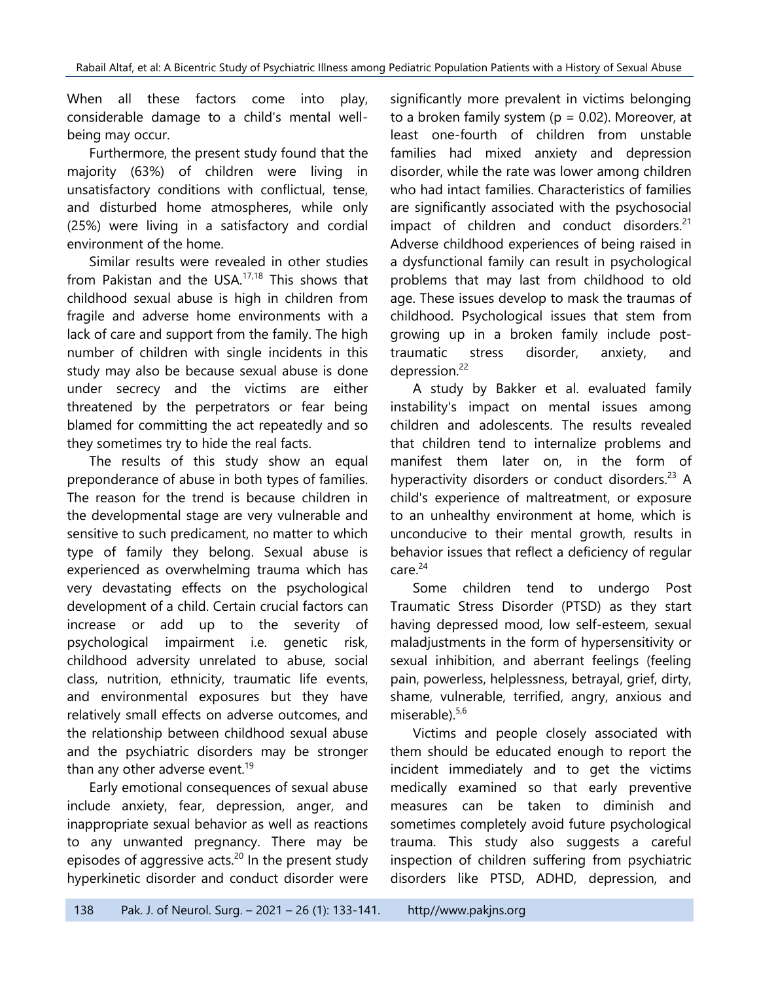When all these factors come into play, considerable damage to a child's mental wellbeing may occur.

Furthermore, the present study found that the majority (63%) of children were living in unsatisfactory conditions with conflictual, tense, and disturbed home atmospheres, while only (25%) were living in a satisfactory and cordial environment of the home.

Similar results were revealed in other studies from Pakistan and the USA.17,18 This shows that childhood sexual abuse is high in children from fragile and adverse home environments with a lack of care and support from the family. The high number of children with single incidents in this study may also be because sexual abuse is done under secrecy and the victims are either threatened by the perpetrators or fear being blamed for committing the act repeatedly and so they sometimes try to hide the real facts.

The results of this study show an equal preponderance of abuse in both types of families. The reason for the trend is because children in the developmental stage are very vulnerable and sensitive to such predicament, no matter to which type of family they belong. Sexual abuse is experienced as overwhelming trauma which has very devastating effects on the psychological development of a child. Certain crucial factors can increase or add up to the severity of psychological impairment i.e. genetic risk, childhood adversity unrelated to abuse, social class, nutrition, ethnicity, traumatic life events, and environmental exposures but they have relatively small effects on adverse outcomes, and the relationship between childhood sexual abuse and the psychiatric disorders may be stronger than any other adverse event. $19$ 

Early emotional consequences of sexual abuse include anxiety, fear, depression, anger, and inappropriate sexual behavior as well as reactions to any unwanted pregnancy. There may be episodes of aggressive acts.<sup>20</sup> In the present study hyperkinetic disorder and conduct disorder were

significantly more prevalent in victims belonging to a broken family system ( $p = 0.02$ ). Moreover, at least one-fourth of children from unstable families had mixed anxiety and depression disorder, while the rate was lower among children who had intact families. Characteristics of families are significantly associated with the psychosocial impact of children and conduct disorders. $21$ Adverse childhood experiences of being raised in a dysfunctional family can result in psychological problems that may last from childhood to old age. These issues develop to mask the traumas of childhood. Psychological issues that stem from growing up in a broken family include posttraumatic stress disorder, anxiety, and depression.<sup>22</sup>

A study by Bakker et al. evaluated family instability's impact on mental issues among children and adolescents. The results revealed that children tend to internalize problems and manifest them later on, in the form of hyperactivity disorders or conduct disorders.<sup>23</sup> A child's experience of maltreatment, or exposure to an unhealthy environment at home, which is unconducive to their mental growth, results in behavior issues that reflect a deficiency of regular  $care<sup>24</sup>$ 

Some children tend to undergo Post Traumatic Stress Disorder (PTSD) as they start having depressed mood, low self-esteem, sexual maladjustments in the form of hypersensitivity or sexual inhibition, and aberrant feelings (feeling pain, powerless, helplessness, betrayal, grief, dirty, shame, vulnerable, terrified, angry, anxious and miserable).<sup>5,6</sup>

Victims and people closely associated with them should be educated enough to report the incident immediately and to get the victims medically examined so that early preventive measures can be taken to diminish and sometimes completely avoid future psychological trauma. This study also suggests a careful inspection of children suffering from psychiatric disorders like PTSD, ADHD, depression, and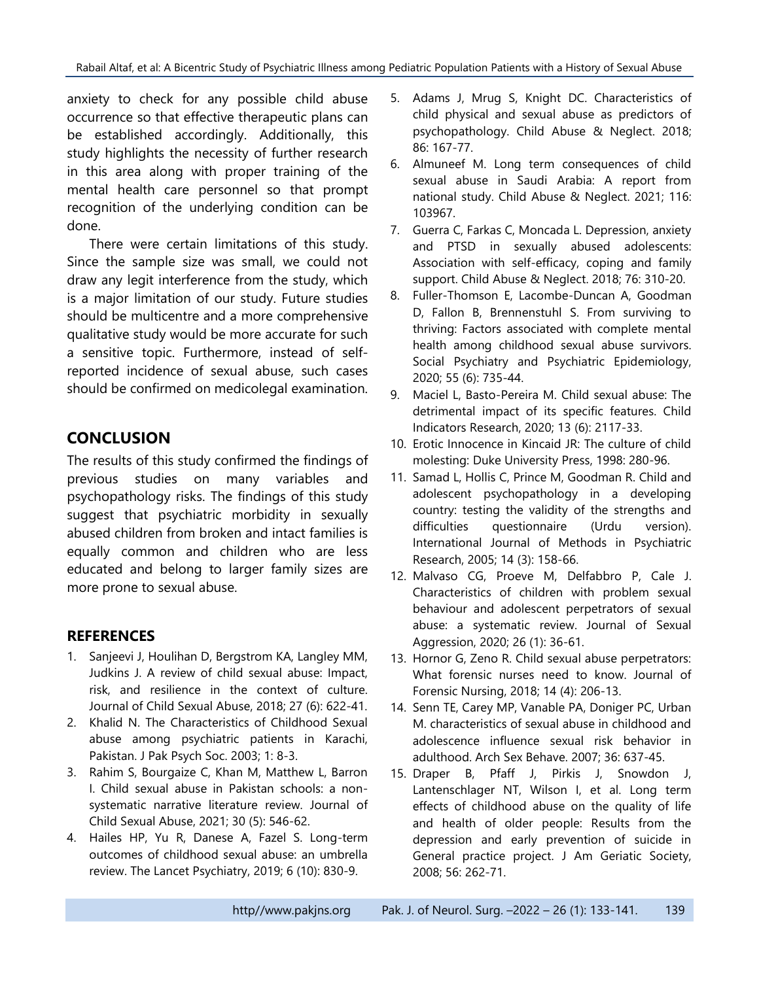anxiety to check for any possible child abuse occurrence so that effective therapeutic plans can be established accordingly. Additionally, this study highlights the necessity of further research in this area along with proper training of the mental health care personnel so that prompt recognition of the underlying condition can be done.

There were certain limitations of this study. Since the sample size was small, we could not draw any legit interference from the study, which is a major limitation of our study. Future studies should be multicentre and a more comprehensive qualitative study would be more accurate for such a sensitive topic. Furthermore, instead of selfreported incidence of sexual abuse, such cases should be confirmed on medicolegal examination.

# **CONCLUSION**

The results of this study confirmed the findings of previous studies on many variables and psychopathology risks. The findings of this study suggest that psychiatric morbidity in sexually abused children from broken and intact families is equally common and children who are less educated and belong to larger family sizes are more prone to sexual abuse.

### **REFERENCES**

- 1. Sanjeevi J, Houlihan D, Bergstrom KA, Langley MM, Judkins J. A review of child sexual abuse: Impact, risk, and resilience in the context of culture. Journal of Child Sexual Abuse, 2018; 27 (6): 622-41.
- 2. Khalid N. The Characteristics of Childhood Sexual abuse among psychiatric patients in Karachi, Pakistan. J Pak Psych Soc. 2003; 1: 8-3.
- 3. Rahim S, Bourgaize C, Khan M, Matthew L, Barron I. Child sexual abuse in Pakistan schools: a nonsystematic narrative literature review. Journal of Child Sexual Abuse, 2021; 30 (5): 546-62.
- 4. Hailes HP, Yu R, Danese A, Fazel S. Long-term outcomes of childhood sexual abuse: an umbrella review. The Lancet Psychiatry, 2019; 6 (10): 830-9.
- 5. Adams J, Mrug S, Knight DC. Characteristics of child physical and sexual abuse as predictors of psychopathology. Child Abuse & Neglect. 2018; 86: 167-77.
- 6. Almuneef M. Long term consequences of child sexual abuse in Saudi Arabia: A report from national study. Child Abuse & Neglect. 2021; 116: 103967.
- 7. Guerra C, Farkas C, Moncada L. Depression, anxiety and PTSD in sexually abused adolescents: Association with self-efficacy, coping and family support. Child Abuse & Neglect. 2018; 76: 310-20.
- 8. Fuller-Thomson E, Lacombe-Duncan A, Goodman D, Fallon B, Brennenstuhl S. From surviving to thriving: Factors associated with complete mental health among childhood sexual abuse survivors. Social Psychiatry and Psychiatric Epidemiology, 2020; 55 (6): 735-44.
- 9. Maciel L, Basto-Pereira M. Child sexual abuse: The detrimental impact of its specific features. Child Indicators Research, 2020; 13 (6): 2117-33.
- 10. Erotic Innocence in Kincaid JR: The culture of child molesting: Duke University Press, 1998: 280-96.
- 11. Samad L, Hollis C, Prince M, Goodman R. Child and adolescent psychopathology in a developing country: testing the validity of the strengths and difficulties questionnaire (Urdu version). International Journal of Methods in Psychiatric Research, 2005; 14 (3): 158-66.
- 12. Malvaso CG, Proeve M, Delfabbro P, Cale J. Characteristics of children with problem sexual behaviour and adolescent perpetrators of sexual abuse: a systematic review. Journal of Sexual Aggression, 2020; 26 (1): 36-61.
- 13. Hornor G, Zeno R. Child sexual abuse perpetrators: What forensic nurses need to know. Journal of Forensic Nursing, 2018; 14 (4): 206-13.
- 14. Senn TE, Carey MP, Vanable PA, Doniger PC, Urban M. characteristics of sexual abuse in childhood and adolescence influence sexual risk behavior in adulthood. Arch Sex Behave. 2007; 36: 637-45.
- 15. Draper B, Pfaff J, Pirkis J, Snowdon J, Lantenschlager NT, Wilson I, et al. Long term effects of childhood abuse on the quality of life and health of older people: Results from the depression and early prevention of suicide in General practice project. J Am Geriatic Society, 2008; 56: 262-71.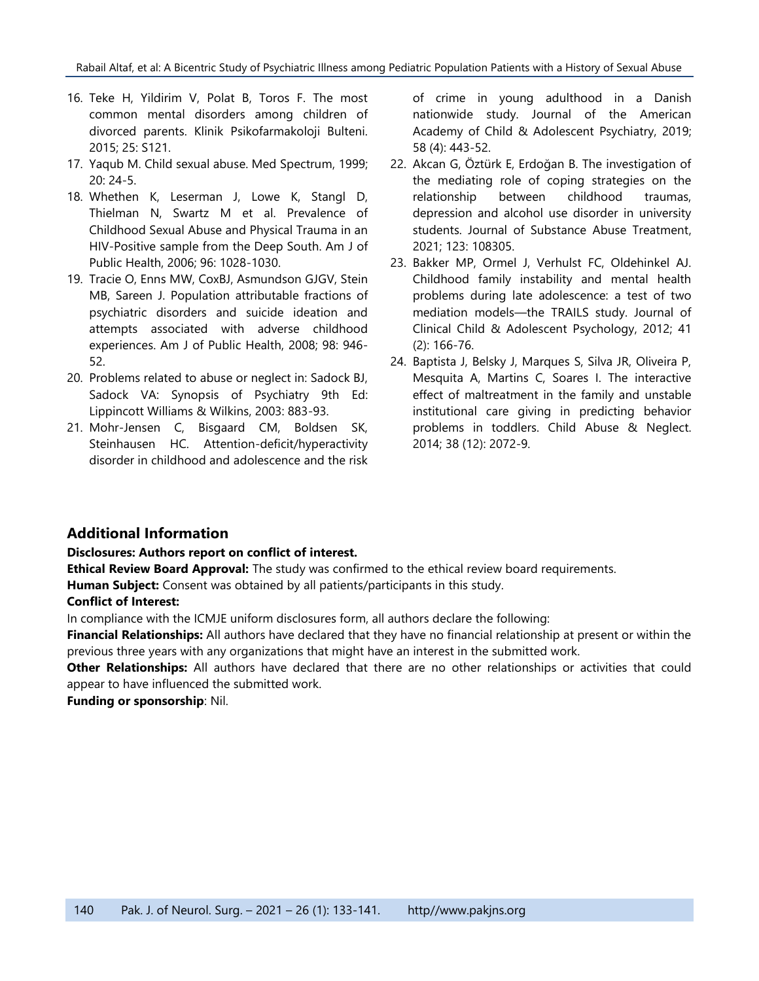- 16. Teke H, Yildirim V, Polat B, Toros F. The most common mental disorders among children of divorced parents. Klinik Psikofarmakoloji Bulteni. 2015; 25: S121.
- 17. Yaqub M. Child sexual abuse. Med Spectrum, 1999;  $20: 24-5.$
- 18. Whethen K, Leserman J, Lowe K, Stangl D, Thielman N, Swartz M et al. Prevalence of Childhood Sexual Abuse and Physical Trauma in an HIV-Positive sample from the Deep South. Am J of Public Health, 2006; 96: 1028-1030.
- 19. Tracie O, Enns MW, CoxBJ, Asmundson GJGV, Stein MB, Sareen J. Population attributable fractions of psychiatric disorders and suicide ideation and attempts associated with adverse childhood experiences. Am J of Public Health, 2008; 98: 946- 52.
- 20. Problems related to abuse or neglect in: Sadock BJ, Sadock VA: Synopsis of Psychiatry 9th Ed: Lippincott Williams & Wilkins, 2003: 883-93.
- 21. Mohr-Jensen C, Bisgaard CM, Boldsen SK, Steinhausen HC. Attention-deficit/hyperactivity disorder in childhood and adolescence and the risk

of crime in young adulthood in a Danish nationwide study. Journal of the American Academy of Child & Adolescent Psychiatry, 2019; 58 (4): 443-52.

- 22. Akcan G, Öztürk E, Erdoğan B. The investigation of the mediating role of coping strategies on the relationship between childhood traumas, depression and alcohol use disorder in university students. Journal of Substance Abuse Treatment, 2021; 123: 108305.
- 23. Bakker MP, Ormel J, Verhulst FC, Oldehinkel AJ. Childhood family instability and mental health problems during late adolescence: a test of two mediation models—the TRAILS study. Journal of Clinical Child & Adolescent Psychology, 2012; 41 (2): 166-76.
- 24. Baptista J, Belsky J, Marques S, Silva JR, Oliveira P, Mesquita A, Martins C, Soares I. The interactive effect of maltreatment in the family and unstable institutional care giving in predicting behavior problems in toddlers. Child Abuse & Neglect. 2014; 38 (12): 2072-9.

#### **Additional Information**

#### **Disclosures: Authors report on conflict of interest.**

**Ethical Review Board Approval:** The study was confirmed to the ethical review board requirements.

**Human Subject:** Consent was obtained by all patients/participants in this study.

#### **Conflict of Interest:**

In compliance with the ICMJE uniform disclosures form, all authors declare the following:

**Financial Relationships:** All authors have declared that they have no financial relationship at present or within the previous three years with any organizations that might have an interest in the submitted work.

**Other Relationships:** All authors have declared that there are no other relationships or activities that could appear to have influenced the submitted work.

**Funding or sponsorship**: Nil.